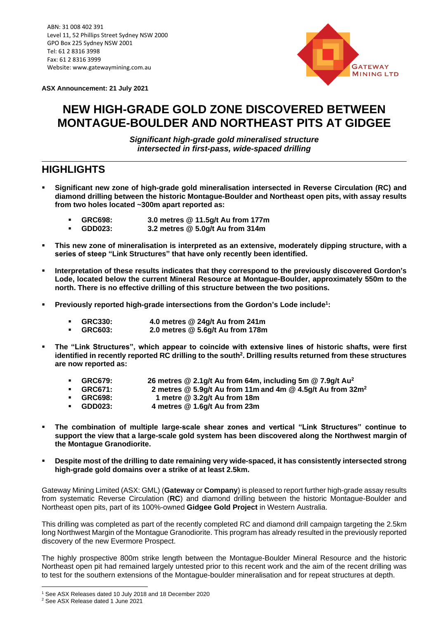

**ASX Announcement: 21 July 2021**

# **NEW HIGH-GRADE GOLD ZONE DISCOVERED BETWEEN MONTAGUE-BOULDER AND NORTHEAST PITS AT GIDGEE**

*Significant high-grade gold mineralised structure intersected in first-pass, wide-spaced drilling*

### **HIGHLIGHTS**

- **Significant new zone of high-grade gold mineralisation intersected in Reverse Circulation (RC) and diamond drilling between the historic Montague-Boulder and Northeast open pits, with assay results from two holes located ~300m apart reported as:**
	- **GRC698: 3.0 metres @ 11.5g/t Au from 177m**
	- **GDD023: 3.2 metres @ 5.0g/t Au from 314m**
- **This new zone of mineralisation is interpreted as an extensive, moderately dipping structure, with a series of steep "Link Structures" that have only recently been identified.**
- **Interpretation of these results indicates that they correspond to the previously discovered Gordon's Lode, located below the current Mineral Resource at Montague-Boulder, approximately 550m to the north. There is no effective drilling of this structure between the two positions.**
- **Previously reported high-grade intersections from the Gordon's Lode include<sup>1</sup> :**
	- **GRC330: 4.0 metres @ 24g/t Au from 241m**
	- **GRC603: 2.0 metres @ 5.6g/t Au from 178m**
- **The "Link Structures", which appear to coincide with extensive lines of historic shafts, were first identified in recently reported RC drilling to the south<sup>2</sup> . Drilling results returned from these structures are now reported as:**
	- **GRC679: 26 metres @ 2.1g/t Au from 64m, including 5m @ 7.9g/t Au<sup>2</sup>**
	- **GRC671: 2 metres @ 5.9g/t Au from 11m and 4m @ 4.5g/t Au from 32m<sup>2</sup>**
	- **GRC698: 1 metre @ 3.2g/t Au from 18m**
	- **GDD023: 4 metres @ 1.6g/t Au from 23m**
- **The combination of multiple large-scale shear zones and vertical "Link Structures" continue to support the view that a large-scale gold system has been discovered along the Northwest margin of the Montague Granodiorite.**
- **Despite most of the drilling to date remaining very wide-spaced, it has consistently intersected strong high-grade gold domains over a strike of at least 2.5km.**

Gateway Mining Limited (ASX: GML) (**Gateway** or **Company**) is pleased to report further high-grade assay results from systematic Reverse Circulation (**RC**) and diamond drilling between the historic Montague-Boulder and Northeast open pits, part of its 100%-owned **Gidgee Gold Project** in Western Australia.

This drilling was completed as part of the recently completed RC and diamond drill campaign targeting the 2.5km long Northwest Margin of the Montague Granodiorite. This program has already resulted in the previously reported discovery of the new Evermore Prospect.

The highly prospective 800m strike length between the Montague-Boulder Mineral Resource and the historic Northeast open pit had remained largely untested prior to this recent work and the aim of the recent drilling was to test for the southern extensions of the Montague-boulder mineralisation and for repeat structures at depth.

<sup>1</sup> See ASX Releases dated 10 July 2018 and 18 December 2020

<sup>2</sup> See ASX Release dated 1 June 2021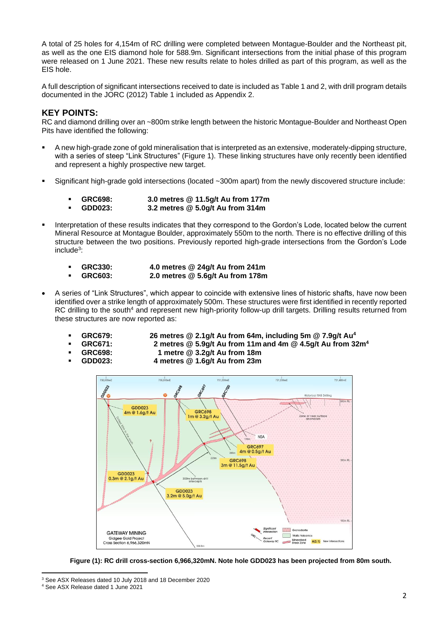A total of 25 holes for 4,154m of RC drilling were completed between Montague-Boulder and the Northeast pit, as well as the one EIS diamond hole for 588.9m. Significant intersections from the initial phase of this program were released on 1 June 2021. These new results relate to holes drilled as part of this program, as well as the EIS hole.

A full description of significant intersections received to date is included as Table 1 and 2, with drill program details documented in the JORC (2012) Table 1 included as Appendix 2.

### **KEY POINTS:**

RC and diamond drilling over an ~800m strike length between the historic Montague-Boulder and Northeast Open Pits have identified the following:

- A new high-grade zone of gold mineralisation that is interpreted as an extensive, moderately-dipping structure, with a series of steep "Link Structures" (Figure 1). These linking structures have only recently been identified and represent a highly prospective new target.
- Significant high-grade gold intersections (located ~300m apart) from the newly discovered structure include:
	- **GRC698: 3.0 metres @ 11.5g/t Au from 177m**
	- **GDD023: 3.2 metres @ 5.0g/t Au from 314m**
- Interpretation of these results indicates that they correspond to the Gordon's Lode, located below the current Mineral Resource at Montague Boulder, approximately 550m to the north. There is no effective drilling of this structure between the two positions. Previously reported high-grade intersections from the Gordon's Lode include $3$ :
	- **GRC330: 4.0 metres @ 24g/t Au from 241m**
		- **GRC603: 2.0 metres @ 5.6g/t Au from 178m**
- A series of "Link Structures", which appear to coincide with extensive lines of historic shafts, have now been identified over a strike length of approximately 500m. These structures were first identified in recently reported RC drilling to the south<sup>4</sup> and represent new high-priority follow-up drill targets. Drilling results returned from these structures are now reported as:
	- GRC679: **26 metres @ 2.1g/t Au from 64m, including 5m @ 7.9g/t Au<sup>4</sup><br>GRC671: 2 metres @ 5.9g/t Au from 11m and 4m @ 4.5g/t Au from 32**
	- **GRC671: 2 metres @ 5.9g/t Au from 11m and 4m @ 4.5g/t Au from 32m<sup>4</sup>**
	-
	- **GRC698: 1 metre @ 3.2g/t Au from 18m** ▪ **GDD023: 4 metres @ 1.6g/t Au from 23m**



**Figure (1): RC drill cross-section 6,966,320mN. Note hole GDD023 has been projected from 80m south.**

<sup>3</sup> See ASX Releases dated 10 July 2018 and 18 December 2020

<sup>4</sup> See ASX Release dated 1 June 2021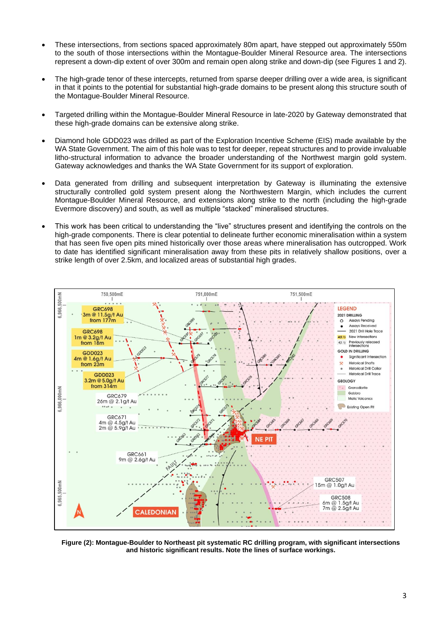- These intersections, from sections spaced approximately 80m apart, have stepped out approximately 550m to the south of those intersections within the Montague-Boulder Mineral Resource area. The intersections represent a down-dip extent of over 300m and remain open along strike and down-dip (see Figures 1 and 2).
- The high-grade tenor of these intercepts, returned from sparse deeper drilling over a wide area, is significant in that it points to the potential for substantial high-grade domains to be present along this structure south of the Montague-Boulder Mineral Resource.
- Targeted drilling within the Montague-Boulder Mineral Resource in late-2020 by Gateway demonstrated that these high-grade domains can be extensive along strike.
- Diamond hole GDD023 was drilled as part of the Exploration Incentive Scheme (EIS) made available by the WA State Government. The aim of this hole was to test for deeper, repeat structures and to provide invaluable litho-structural information to advance the broader understanding of the Northwest margin gold system. Gateway acknowledges and thanks the WA State Government for its support of exploration.
- Data generated from drilling and subsequent interpretation by Gateway is illuminating the extensive structurally controlled gold system present along the Northwestern Margin, which includes the current Montague-Boulder Mineral Resource, and extensions along strike to the north (including the high-grade Evermore discovery) and south, as well as multiple "stacked" mineralised structures.
- This work has been critical to understanding the "live" structures present and identifying the controls on the high-grade components. There is clear potential to delineate further economic mineralisation within a system that has seen five open pits mined historically over those areas where mineralisation has outcropped. Work to date has identified significant mineralisation away from these pits in relatively shallow positions, over a strike length of over 2.5km, and localized areas of substantial high grades.



**Figure (2): Montague-Boulder to Northeast pit systematic RC drilling program, with significant intersections and historic significant results. Note the lines of surface workings.**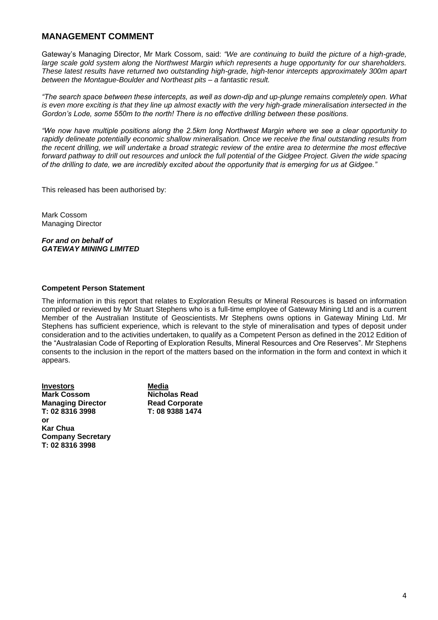### **MANAGEMENT COMMENT**

Gateway's Managing Director, Mr Mark Cossom, said: *"We are continuing to build the picture of a high-grade, large scale gold system along the Northwest Margin which represents a huge opportunity for our shareholders. These latest results have returned two outstanding high-grade, high-tenor intercepts approximately 300m apart between the Montague-Boulder and Northeast pits – a fantastic result.* 

*"The search space between these intercepts, as well as down-dip and up-plunge remains completely open. What is even more exciting is that they line up almost exactly with the very high-grade mineralisation intersected in the Gordon's Lode, some 550m to the north! There is no effective drilling between these positions.* 

*"We now have multiple positions along the 2.5km long Northwest Margin where we see a clear opportunity to rapidly delineate potentially economic shallow mineralisation. Once we receive the final outstanding results from the recent drilling, we will undertake a broad strategic review of the entire area to determine the most effective forward pathway to drill out resources and unlock the full potential of the Gidgee Project. Given the wide spacing of the drilling to date, we are incredibly excited about the opportunity that is emerging for us at Gidgee."*

This released has been authorised by:

Mark Cossom Managing Director

*For and on behalf of GATEWAY MINING LIMITED*

#### **Competent Person Statement**

The information in this report that relates to Exploration Results or Mineral Resources is based on information compiled or reviewed by Mr Stuart Stephens who is a full-time employee of Gateway Mining Ltd and is a current Member of the Australian Institute of Geoscientists. Mr Stephens owns options in Gateway Mining Ltd. Mr Stephens has sufficient experience, which is relevant to the style of mineralisation and types of deposit under consideration and to the activities undertaken, to qualify as a Competent Person as defined in the 2012 Edition of the "Australasian Code of Reporting of Exploration Results, Mineral Resources and Ore Reserves". Mr Stephens consents to the inclusion in the report of the matters based on the information in the form and context in which it appears.

**Investors** Media **Mark Cossom Communist Cossom Nicholas Read Managing Director Read Corporate T: 02 8316 3998 T: 08 9388 1474 or Kar Chua Company Secretary T: 02 8316 3998**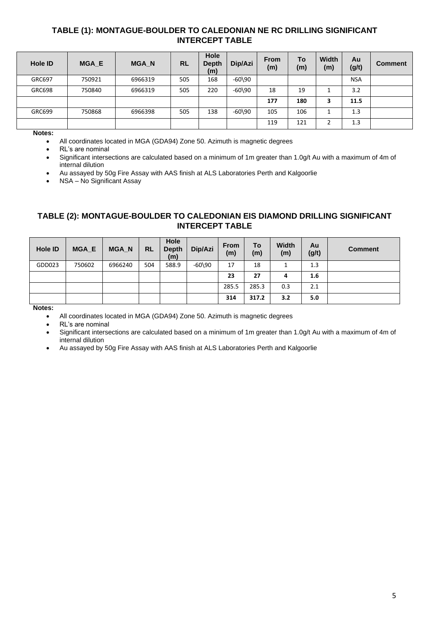### **TABLE (1): MONTAGUE-BOULDER TO CALEDONIAN NE RC DRILLING SIGNIFICANT INTERCEPT TABLE**

| <b>Hole ID</b> | <b>MGA E</b> | <b>MGAN</b> | <b>RL</b> | Hole<br><b>Depth</b><br>(m) | Dip/Azi  | <b>From</b><br>(m) | To<br>(m) | <b>Width</b><br>(m) | Au<br>(g/t) | <b>Comment</b> |
|----------------|--------------|-------------|-----------|-----------------------------|----------|--------------------|-----------|---------------------|-------------|----------------|
| <b>GRC697</b>  | 750921       | 6966319     | 505       | 168                         | $-60$ 90 |                    |           |                     | <b>NSA</b>  |                |
| <b>GRC698</b>  | 750840       | 6966319     | 505       | 220                         | $-60$ 90 | 18                 | 19        |                     | 3.2         |                |
|                |              |             |           |                             |          | 177                | 180       | 3                   | 11.5        |                |
| GRC699         | 750868       | 6966398     | 505       | 138                         | $-60$ 90 | 105                | 106       |                     | 1.3         |                |
|                |              |             |           |                             |          | 119                | 121       |                     | 1.3         |                |

**Notes:**

• All coordinates located in MGA (GDA94) Zone 50. Azimuth is magnetic degrees

• RL's are nominal

- Significant intersections are calculated based on a minimum of 1m greater than 1.0g/t Au with a maximum of 4m of internal dilution
- Au assayed by 50g Fire Assay with AAS finish at ALS Laboratories Perth and Kalgoorlie

NSA – No Significant Assay

### **TABLE (2): MONTAGUE-BOULDER TO CALEDONIAN EIS DIAMOND DRILLING SIGNIFICANT INTERCEPT TABLE**

| <b>Hole ID</b> | <b>MGA E</b> | <b>MGAN</b> | <b>RL</b> | <b>Hole</b><br><b>Depth</b><br>(m) | Dip/Azi   | <b>From</b><br>(m) | To<br>(m) | Width<br>(m) | Au<br>(g/t) | <b>Comment</b> |
|----------------|--------------|-------------|-----------|------------------------------------|-----------|--------------------|-----------|--------------|-------------|----------------|
| GDD023         | 750602       | 6966240     | 504       | 588.9                              | $-60\$ 90 | 17                 | 18        |              | 1.3         |                |
|                |              |             |           |                                    |           | 23                 | 27        | 4            | 1.6         |                |
|                |              |             |           |                                    |           | 285.5              | 285.3     | 0.3          | 2.1         |                |
|                |              |             |           |                                    |           | 314                | 317.2     | 3.2          | 5.0         |                |

**Notes:**

• All coordinates located in MGA (GDA94) Zone 50. Azimuth is magnetic degrees

RL's are nominal

- Significant intersections are calculated based on a minimum of 1m greater than 1.0g/t Au with a maximum of 4m of internal dilution
- Au assayed by 50g Fire Assay with AAS finish at ALS Laboratories Perth and Kalgoorlie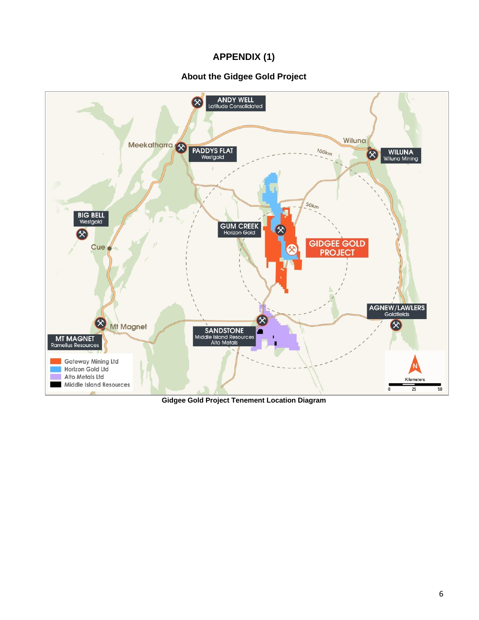## **APPENDIX (1)**

### **About the Gidgee Gold Project**



**Gidgee Gold Project Tenement Location Diagram**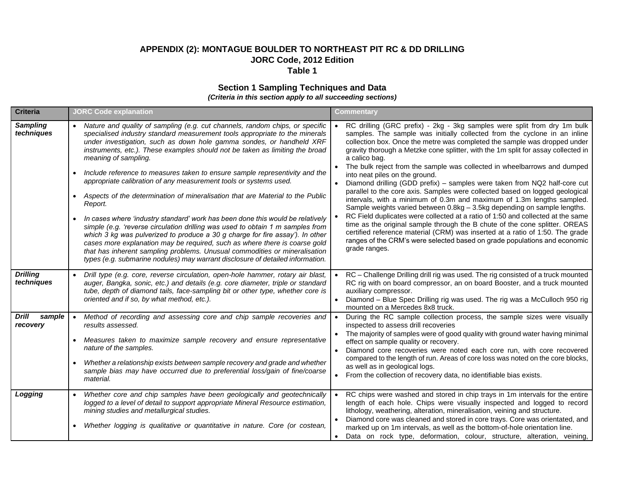#### **APPENDIX (2): MONTAGUE BOULDER TO NORTHEAST PIT RC & DD DRILLING JORC Code, 2012 Edition Table 1**

# **Section 1 Sampling Techniques and Data**

*(Criteria in this section apply to all succeeding sections)*

| <b>Criteria</b>                    | <b>JORC Code explanation</b>                                                                                                                                                                                                                                                                                                                                                                                                                                                                                                                                                                                                                                                                                                                                                                                                                                                                                                                                                                                                                                                                                 | <b>Commentary</b>                                                                                                                                                                                                                                                                                                                                                                                                                                                                                                                                                                                                                                                                                                                                                                                                                                                                                                                                                                                                                                                                                                          |
|------------------------------------|--------------------------------------------------------------------------------------------------------------------------------------------------------------------------------------------------------------------------------------------------------------------------------------------------------------------------------------------------------------------------------------------------------------------------------------------------------------------------------------------------------------------------------------------------------------------------------------------------------------------------------------------------------------------------------------------------------------------------------------------------------------------------------------------------------------------------------------------------------------------------------------------------------------------------------------------------------------------------------------------------------------------------------------------------------------------------------------------------------------|----------------------------------------------------------------------------------------------------------------------------------------------------------------------------------------------------------------------------------------------------------------------------------------------------------------------------------------------------------------------------------------------------------------------------------------------------------------------------------------------------------------------------------------------------------------------------------------------------------------------------------------------------------------------------------------------------------------------------------------------------------------------------------------------------------------------------------------------------------------------------------------------------------------------------------------------------------------------------------------------------------------------------------------------------------------------------------------------------------------------------|
| <b>Sampling</b><br>techniques      | Nature and quality of sampling (e.g. cut channels, random chips, or specific<br>specialised industry standard measurement tools appropriate to the minerals<br>under investigation, such as down hole gamma sondes, or handheld XRF<br>instruments, etc.). These examples should not be taken as limiting the broad<br>meaning of sampling.<br>Include reference to measures taken to ensure sample representivity and the<br>appropriate calibration of any measurement tools or systems used.<br>Aspects of the determination of mineralisation that are Material to the Public<br>Report.<br>In cases where 'industry standard' work has been done this would be relatively<br>$\bullet$<br>simple (e.g. 'reverse circulation drilling was used to obtain 1 m samples from<br>which 3 kg was pulverized to produce a 30 g charge for fire assay'). In other<br>cases more explanation may be required, such as where there is coarse gold<br>that has inherent sampling problems. Unusual commodities or mineralisation<br>types (e.g. submarine nodules) may warrant disclosure of detailed information. | RC drilling (GRC prefix) - 2kg - 3kg samples were split from dry 1m bulk<br>samples. The sample was initially collected from the cyclone in an inline<br>collection box. Once the metre was completed the sample was dropped under<br>gravity thorough a Metzke cone splitter, with the 1m split for assay collected in<br>a calico bag.<br>The bulk reject from the sample was collected in wheelbarrows and dumped<br>into neat piles on the ground.<br>Diamond drilling (GDD prefix) - samples were taken from NQ2 half-core cut<br>parallel to the core axis. Samples were collected based on logged geological<br>intervals, with a minimum of 0.3m and maximum of 1.3m lengths sampled.<br>Sample weights varied between 0.8kg - 3.5kg depending on sample lengths.<br>RC Field duplicates were collected at a ratio of 1:50 and collected at the same<br>time as the original sample through the B chute of the cone splitter. OREAS<br>certified reference material (CRM) was inserted at a ratio of 1:50. The grade<br>ranges of the CRM's were selected based on grade populations and economic<br>grade ranges. |
| <b>Drilling</b><br>techniques      | Drill type (e.g. core, reverse circulation, open-hole hammer, rotary air blast,<br>auger, Bangka, sonic, etc.) and details (e.g. core diameter, triple or standard<br>tube, depth of diamond tails, face-sampling bit or other type, whether core is<br>oriented and if so, by what method, etc.).                                                                                                                                                                                                                                                                                                                                                                                                                                                                                                                                                                                                                                                                                                                                                                                                           | RC - Challenge Drilling drill rig was used. The rig consisted of a truck mounted<br>RC rig with on board compressor, an on board Booster, and a truck mounted<br>auxiliary compressor.<br>Diamond - Blue Spec Drilling rig was used. The rig was a McCulloch 950 rig<br>mounted on a Mercedes 8x8 truck.                                                                                                                                                                                                                                                                                                                                                                                                                                                                                                                                                                                                                                                                                                                                                                                                                   |
| <b>Drill</b><br>sample<br>recovery | Method of recording and assessing core and chip sample recoveries and<br>$\bullet$<br>results assessed.<br>Measures taken to maximize sample recovery and ensure representative<br>nature of the samples.<br>Whether a relationship exists between sample recovery and grade and whether<br>sample bias may have occurred due to preferential loss/gain of fine/coarse<br>material.                                                                                                                                                                                                                                                                                                                                                                                                                                                                                                                                                                                                                                                                                                                          | During the RC sample collection process, the sample sizes were visually<br>inspected to assess drill recoveries<br>The majority of samples were of good quality with ground water having minimal<br>effect on sample quality or recovery.<br>Diamond core recoveries were noted each core run, with core recovered<br>compared to the length of run. Areas of core loss was noted on the core blocks,<br>as well as in geological logs.<br>From the collection of recovery data, no identifiable bias exists.                                                                                                                                                                                                                                                                                                                                                                                                                                                                                                                                                                                                              |
| Logging                            | Whether core and chip samples have been geologically and geotechnically<br>logged to a level of detail to support appropriate Mineral Resource estimation,<br>mining studies and metallurgical studies.<br>Whether logging is qualitative or quantitative in nature. Core (or costean,                                                                                                                                                                                                                                                                                                                                                                                                                                                                                                                                                                                                                                                                                                                                                                                                                       | RC chips were washed and stored in chip trays in 1m intervals for the entire<br>length of each hole. Chips were visually inspected and logged to record<br>lithology, weathering, alteration, mineralisation, veining and structure.<br>Diamond core was cleaned and stored in core trays. Core was orientated, and<br>marked up on 1m intervals, as well as the bottom-of-hole orientation line.<br>Data on rock type, deformation, colour, structure, alteration, veining,                                                                                                                                                                                                                                                                                                                                                                                                                                                                                                                                                                                                                                               |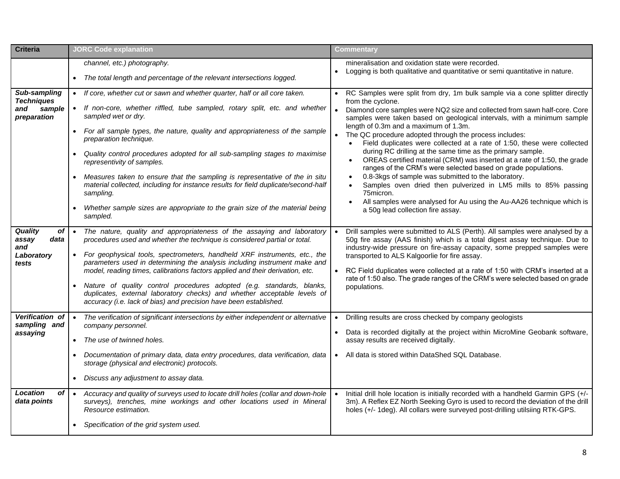| <b>Criteria</b>                                                   | <b>JORC Code explanation</b>                                                                                                                                                                                                                                                                                                                                                                                                                                                                                                                                                                                                                                                                         | <b>Commentary</b>                                                                                                                                                                                                                                                                                                                                                                                                                                                                                                                                                                                                                                                                                                                                                                                                                                                                                                                  |  |  |
|-------------------------------------------------------------------|------------------------------------------------------------------------------------------------------------------------------------------------------------------------------------------------------------------------------------------------------------------------------------------------------------------------------------------------------------------------------------------------------------------------------------------------------------------------------------------------------------------------------------------------------------------------------------------------------------------------------------------------------------------------------------------------------|------------------------------------------------------------------------------------------------------------------------------------------------------------------------------------------------------------------------------------------------------------------------------------------------------------------------------------------------------------------------------------------------------------------------------------------------------------------------------------------------------------------------------------------------------------------------------------------------------------------------------------------------------------------------------------------------------------------------------------------------------------------------------------------------------------------------------------------------------------------------------------------------------------------------------------|--|--|
|                                                                   | channel, etc.) photography.                                                                                                                                                                                                                                                                                                                                                                                                                                                                                                                                                                                                                                                                          | mineralisation and oxidation state were recorded.<br>Logging is both qualitative and quantitative or semi quantitative in nature.                                                                                                                                                                                                                                                                                                                                                                                                                                                                                                                                                                                                                                                                                                                                                                                                  |  |  |
|                                                                   | The total length and percentage of the relevant intersections logged.                                                                                                                                                                                                                                                                                                                                                                                                                                                                                                                                                                                                                                |                                                                                                                                                                                                                                                                                                                                                                                                                                                                                                                                                                                                                                                                                                                                                                                                                                                                                                                                    |  |  |
| Sub-sampling<br><b>Techniques</b><br>sample<br>and<br>preparation | • If core, whether cut or sawn and whether quarter, half or all core taken.<br>• If non-core, whether riffled, tube sampled, rotary split, etc. and whether<br>sampled wet or dry.<br>• For all sample types, the nature, quality and appropriateness of the sample<br>preparation technique.<br>Quality control procedures adopted for all sub-sampling stages to maximise<br>representivity of samples.<br>Measures taken to ensure that the sampling is representative of the in situ<br>$\bullet$<br>material collected, including for instance results for field duplicate/second-half<br>sampling.<br>Whether sample sizes are appropriate to the grain size of the material being<br>sampled. | RC Samples were split from dry, 1m bulk sample via a cone splitter directly<br>from the cyclone.<br>Diamond core samples were NQ2 size and collected from sawn half-core. Core<br>samples were taken based on geological intervals, with a minimum sample<br>length of 0.3m and a maximum of 1.3m.<br>• The QC procedure adopted through the process includes:<br>Field duplicates were collected at a rate of 1:50, these were collected<br>during RC drilling at the same time as the primary sample.<br>OREAS certified material (CRM) was inserted at a rate of 1:50, the grade<br>$\bullet$<br>ranges of the CRM's were selected based on grade populations.<br>0.8-3kgs of sample was submitted to the laboratory.<br>$\bullet$<br>Samples oven dried then pulverized in LM5 mills to 85% passing<br>75micron.<br>All samples were analysed for Au using the Au-AA26 technique which is<br>a 50g lead collection fire assay. |  |  |
| Quality<br>оf<br>data<br>assay<br>and<br>Laboratory<br>tests      | The nature, quality and appropriateness of the assaying and laboratory<br>$\bullet$<br>procedures used and whether the technique is considered partial or total.<br>• For geophysical tools, spectrometers, handheld XRF instruments, etc., the<br>parameters used in determining the analysis including instrument make and<br>model, reading times, calibrations factors applied and their derivation, etc.<br>Nature of quality control procedures adopted (e.g. standards, blanks,<br>duplicates, external laboratory checks) and whether acceptable levels of<br>accuracy (i.e. lack of bias) and precision have been established.                                                              | Drill samples were submitted to ALS (Perth). All samples were analysed by a<br>50g fire assay (AAS finish) which is a total digest assay technique. Due to<br>industry-wide pressure on fire-assay capacity, some prepped samples were<br>transported to ALS Kalgoorlie for fire assay.<br>RC Field duplicates were collected at a rate of 1:50 with CRM's inserted at a<br>rate of 1:50 also. The grade ranges of the CRM's were selected based on grade<br>populations.                                                                                                                                                                                                                                                                                                                                                                                                                                                          |  |  |
| Verification of<br>sampling and<br>assaying                       | $\bullet$<br>The verification of significant intersections by either independent or alternative<br>company personnel.<br>The use of twinned holes.<br>$\bullet$<br>Documentation of primary data, data entry procedures, data verification, data<br>storage (physical and electronic) protocols.<br>Discuss any adjustment to assay data.<br>$\bullet$                                                                                                                                                                                                                                                                                                                                               | Drilling results are cross checked by company geologists<br>Data is recorded digitally at the project within MicroMine Geobank software,<br>assay results are received digitally.<br>• All data is stored within DataShed SQL Database.                                                                                                                                                                                                                                                                                                                                                                                                                                                                                                                                                                                                                                                                                            |  |  |
| Location<br>of<br>data points                                     | Accuracy and quality of surveys used to locate drill holes (collar and down-hole<br>$\bullet$<br>surveys), trenches, mine workings and other locations used in Mineral<br>Resource estimation.<br>Specification of the grid system used.                                                                                                                                                                                                                                                                                                                                                                                                                                                             | Initial drill hole location is initially recorded with a handheld Garmin GPS (+/-<br>3m). A Reflex EZ North Seeking Gyro is used to record the deviation of the drill<br>holes (+/- 1deg). All collars were surveyed post-drilling utilsiing RTK-GPS.                                                                                                                                                                                                                                                                                                                                                                                                                                                                                                                                                                                                                                                                              |  |  |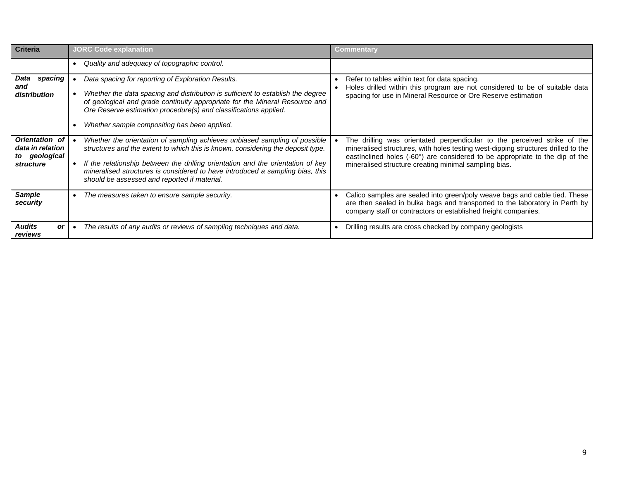| <b>Criteria</b>                                                  | <b>JORC Code explanation</b>                                                                                                                                                                                                                                                                                                                                                      | <b>Commentary</b>                                                                                                                                                                                                                                                                                      |  |  |  |
|------------------------------------------------------------------|-----------------------------------------------------------------------------------------------------------------------------------------------------------------------------------------------------------------------------------------------------------------------------------------------------------------------------------------------------------------------------------|--------------------------------------------------------------------------------------------------------------------------------------------------------------------------------------------------------------------------------------------------------------------------------------------------------|--|--|--|
|                                                                  | Quality and adequacy of topographic control.                                                                                                                                                                                                                                                                                                                                      |                                                                                                                                                                                                                                                                                                        |  |  |  |
| spacing<br>Data<br>and<br>distribution                           | Data spacing for reporting of Exploration Results.<br>Whether the data spacing and distribution is sufficient to establish the degree<br>of geological and grade continuity appropriate for the Mineral Resource and<br>Ore Reserve estimation procedure(s) and classifications applied.<br>Whether sample compositing has been applied.                                          | Refer to tables within text for data spacing.<br>Holes drilled within this program are not considered to be of suitable data<br>spacing for use in Mineral Resource or Ore Reserve estimation                                                                                                          |  |  |  |
| Orientation of<br>data in relation<br>to geological<br>structure | Whether the orientation of sampling achieves unbiased sampling of possible<br>structures and the extent to which this is known, considering the deposit type.<br>If the relationship between the drilling orientation and the orientation of key<br>mineralised structures is considered to have introduced a sampling bias, this<br>should be assessed and reported if material. | The drilling was orientated perpendicular to the perceived strike of the<br>mineralised structures, with holes testing west-dipping structures drilled to the<br>eastinclined holes (-60°) are considered to be appropriate to the dip of the<br>mineralised structure creating minimal sampling bias. |  |  |  |
| <b>Sample</b><br>security                                        | The measures taken to ensure sample security.<br>$\bullet$                                                                                                                                                                                                                                                                                                                        | Calico samples are sealed into green/poly weave bags and cable tied. These<br>are then sealed in bulka bags and transported to the laboratory in Perth by<br>company staff or contractors or established freight companies.                                                                            |  |  |  |
| <b>Audits</b><br><b>or</b><br>reviews                            | The results of any audits or reviews of sampling techniques and data.                                                                                                                                                                                                                                                                                                             | Drilling results are cross checked by company geologists                                                                                                                                                                                                                                               |  |  |  |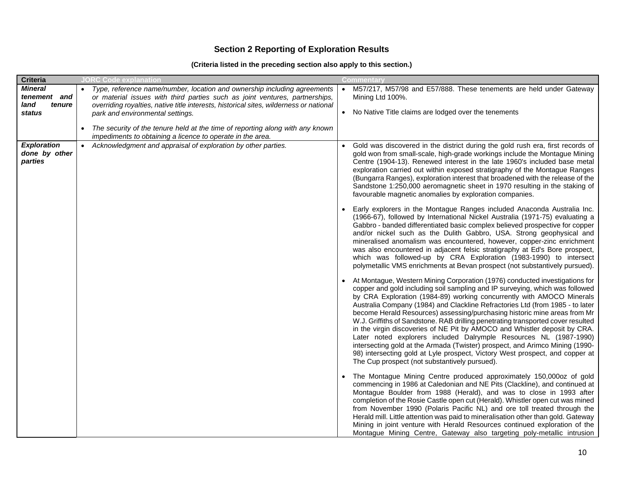### **Section 2 Reporting of Exploration Results**

#### **(Criteria listed in the preceding section also apply to this section.)**

| <b>Criteria</b>                                  |                                  | <b>JORC Code explanation</b>                                                                                                                                                                                                                      | <b>Commentary</b>                                                                                                                                                                                                                                                                                                                                                                                                                                                                                                                                                                                                                                                                                                                                                                                                                                           |
|--------------------------------------------------|----------------------------------|---------------------------------------------------------------------------------------------------------------------------------------------------------------------------------------------------------------------------------------------------|-------------------------------------------------------------------------------------------------------------------------------------------------------------------------------------------------------------------------------------------------------------------------------------------------------------------------------------------------------------------------------------------------------------------------------------------------------------------------------------------------------------------------------------------------------------------------------------------------------------------------------------------------------------------------------------------------------------------------------------------------------------------------------------------------------------------------------------------------------------|
| <b>Mineral</b><br>tenement and<br>land<br>tenure |                                  | Type, reference name/number, location and ownership including agreements<br>or material issues with third parties such as joint ventures, partnerships,<br>overriding royalties, native title interests, historical sites, wilderness or national | M57/217, M57/98 and E57/888. These tenements are held under Gateway<br>Mining Ltd 100%.                                                                                                                                                                                                                                                                                                                                                                                                                                                                                                                                                                                                                                                                                                                                                                     |
| status                                           | park and environmental settings. | • No Native Title claims are lodged over the tenements                                                                                                                                                                                            |                                                                                                                                                                                                                                                                                                                                                                                                                                                                                                                                                                                                                                                                                                                                                                                                                                                             |
|                                                  |                                  | The security of the tenure held at the time of reporting along with any known<br>impediments to obtaining a licence to operate in the area.                                                                                                       |                                                                                                                                                                                                                                                                                                                                                                                                                                                                                                                                                                                                                                                                                                                                                                                                                                                             |
| <b>Exploration</b><br>done by other<br>parties   |                                  | Acknowledgment and appraisal of exploration by other parties.                                                                                                                                                                                     | • Gold was discovered in the district during the gold rush era, first records of<br>gold won from small-scale, high-grade workings include the Montague Mining<br>Centre (1904-13). Renewed interest in the late 1960's included base metal<br>exploration carried out within exposed stratigraphy of the Montague Ranges<br>(Bungarra Ranges), exploration interest that broadened with the release of the<br>Sandstone 1:250,000 aeromagnetic sheet in 1970 resulting in the staking of<br>favourable magnetic anomalies by exploration companies.                                                                                                                                                                                                                                                                                                        |
|                                                  |                                  |                                                                                                                                                                                                                                                   | Early explorers in the Montague Ranges included Anaconda Australia Inc.<br>(1966-67), followed by International Nickel Australia (1971-75) evaluating a<br>Gabbro - banded differentiated basic complex believed prospective for copper<br>and/or nickel such as the Dulith Gabbro, USA. Strong geophysical and<br>mineralised anomalism was encountered, however, copper-zinc enrichment<br>was also encountered in adjacent felsic stratigraphy at Ed's Bore prospect,<br>which was followed-up by CRA Exploration (1983-1990) to intersect<br>polymetallic VMS enrichments at Bevan prospect (not substantively pursued).                                                                                                                                                                                                                                |
|                                                  |                                  |                                                                                                                                                                                                                                                   | • At Montague, Western Mining Corporation (1976) conducted investigations for<br>copper and gold including soil sampling and IP surveying, which was followed<br>by CRA Exploration (1984-89) working concurrently with AMOCO Minerals<br>Australia Company (1984) and Clackline Refractories Ltd (from 1985 - to later<br>become Herald Resources) assessing/purchasing historic mine areas from Mr<br>W.J. Griffiths of Sandstone. RAB drilling penetrating transported cover resulted<br>in the virgin discoveries of NE Pit by AMOCO and Whistler deposit by CRA.<br>Later noted explorers included Dalrymple Resources NL (1987-1990)<br>intersecting gold at the Armada (Twister) prospect, and Arimco Mining (1990-<br>98) intersecting gold at Lyle prospect, Victory West prospect, and copper at<br>The Cup prospect (not substantively pursued). |
|                                                  |                                  |                                                                                                                                                                                                                                                   | The Montague Mining Centre produced approximately 150,000oz of gold<br>commencing in 1986 at Caledonian and NE Pits (Clackline), and continued at<br>Montague Boulder from 1988 (Herald), and was to close in 1993 after<br>completion of the Rosie Castle open cut (Herald). Whistler open cut was mined<br>from November 1990 (Polaris Pacific NL) and ore toll treated through the<br>Herald mill. Little attention was paid to mineralisation other than gold. Gateway<br>Mining in joint venture with Herald Resources continued exploration of the<br>Montague Mining Centre, Gateway also targeting poly-metallic intrusion                                                                                                                                                                                                                          |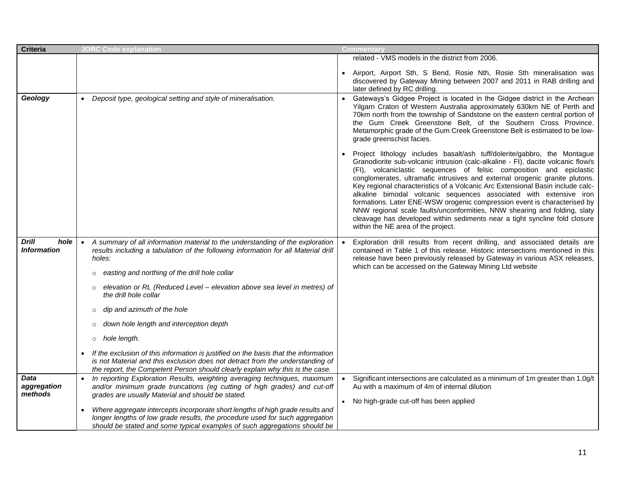| <b>Criteria</b>                            |           | <b>JORC Code explanation</b>                                                                                                                                                                                                                          | <b>Commentary</b>                                                                                                                                                                                                                                                                                                                                                                                                                                                                                                                                                                                                                                                                                                                                       |
|--------------------------------------------|-----------|-------------------------------------------------------------------------------------------------------------------------------------------------------------------------------------------------------------------------------------------------------|---------------------------------------------------------------------------------------------------------------------------------------------------------------------------------------------------------------------------------------------------------------------------------------------------------------------------------------------------------------------------------------------------------------------------------------------------------------------------------------------------------------------------------------------------------------------------------------------------------------------------------------------------------------------------------------------------------------------------------------------------------|
|                                            |           |                                                                                                                                                                                                                                                       | related - VMS models in the district from 2006.                                                                                                                                                                                                                                                                                                                                                                                                                                                                                                                                                                                                                                                                                                         |
|                                            |           |                                                                                                                                                                                                                                                       | Airport, Airport Sth, S Bend, Rosie Nth, Rosie Sth mineralisation was<br>discovered by Gateway Mining between 2007 and 2011 in RAB drilling and<br>later defined by RC drilling.                                                                                                                                                                                                                                                                                                                                                                                                                                                                                                                                                                        |
| Geology                                    | $\bullet$ | Deposit type, geological setting and style of mineralisation.                                                                                                                                                                                         | Gateways's Gidgee Project is located in the Gidgee district in the Archean<br>Yilgarn Craton of Western Australia approximately 630km NE of Perth and<br>70km north from the township of Sandstone on the eastern central portion of<br>the Gum Creek Greenstone Belt, of the Southern Cross Province.<br>Metamorphic grade of the Gum Creek Greenstone Belt is estimated to be low-<br>grade greenschist facies.                                                                                                                                                                                                                                                                                                                                       |
|                                            |           |                                                                                                                                                                                                                                                       | Project lithology includes basalt/ash tuff/dolerite/gabbro, the Montague<br>Granodiorite sub-volcanic intrusion (calc-alkaline - FI), dacite volcanic flow/s<br>(FI), volcaniclastic sequences of felsic composition and epiclastic<br>conglomerates, ultramafic intrusives and external orogenic granite plutons.<br>Key regional characteristics of a Volcanic Arc Extensional Basin include calc-<br>alkaline bimodal volcanic sequences associated with extensive iron<br>formations. Later ENE-WSW orogenic compression event is characterised by<br>NNW regional scale faults/unconformities, NNW shearing and folding, slaty<br>cleavage has developed within sediments near a tight syncline fold closure<br>within the NE area of the project. |
| <b>Drill</b><br>hole<br><b>Information</b> | $\bullet$ | A summary of all information material to the understanding of the exploration<br>results including a tabulation of the following information for all Material drill<br>holes:<br>easting and northing of the drill hole collar<br>$\circ$             | Exploration drill results from recent drilling, and associated details are<br>contained in Table 1 of this release. Historic intersections mentioned in this<br>release have been previously released by Gateway in various ASX releases,<br>which can be accessed on the Gateway Mining Ltd website                                                                                                                                                                                                                                                                                                                                                                                                                                                    |
|                                            |           | elevation or RL (Reduced Level - elevation above sea level in metres) of<br>the drill hole collar                                                                                                                                                     |                                                                                                                                                                                                                                                                                                                                                                                                                                                                                                                                                                                                                                                                                                                                                         |
|                                            |           | dip and azimuth of the hole<br>$\circ$                                                                                                                                                                                                                |                                                                                                                                                                                                                                                                                                                                                                                                                                                                                                                                                                                                                                                                                                                                                         |
|                                            |           | down hole length and interception depth<br>$\circ$                                                                                                                                                                                                    |                                                                                                                                                                                                                                                                                                                                                                                                                                                                                                                                                                                                                                                                                                                                                         |
|                                            |           | $\circ$ hole length.                                                                                                                                                                                                                                  |                                                                                                                                                                                                                                                                                                                                                                                                                                                                                                                                                                                                                                                                                                                                                         |
|                                            |           | If the exclusion of this information is justified on the basis that the information<br>is not Material and this exclusion does not detract from the understanding of<br>the report, the Competent Person should clearly explain why this is the case. |                                                                                                                                                                                                                                                                                                                                                                                                                                                                                                                                                                                                                                                                                                                                                         |
| Data<br>aggregation<br>methods             | $\bullet$ | In reporting Exploration Results, weighting averaging techniques, maximum<br>and/or minimum grade truncations (eg cutting of high grades) and cut-off<br>grades are usually Material and should be stated.                                            | Significant intersections are calculated as a minimum of 1m greater than 1.0g/t<br>Au with a maximum of 4m of internal dilution                                                                                                                                                                                                                                                                                                                                                                                                                                                                                                                                                                                                                         |
|                                            |           | Where aggregate intercepts incorporate short lengths of high grade results and<br>longer lengths of low grade results, the procedure used for such aggregation<br>should be stated and some typical examples of such aggregations should be           | • No high-grade cut-off has been applied                                                                                                                                                                                                                                                                                                                                                                                                                                                                                                                                                                                                                                                                                                                |